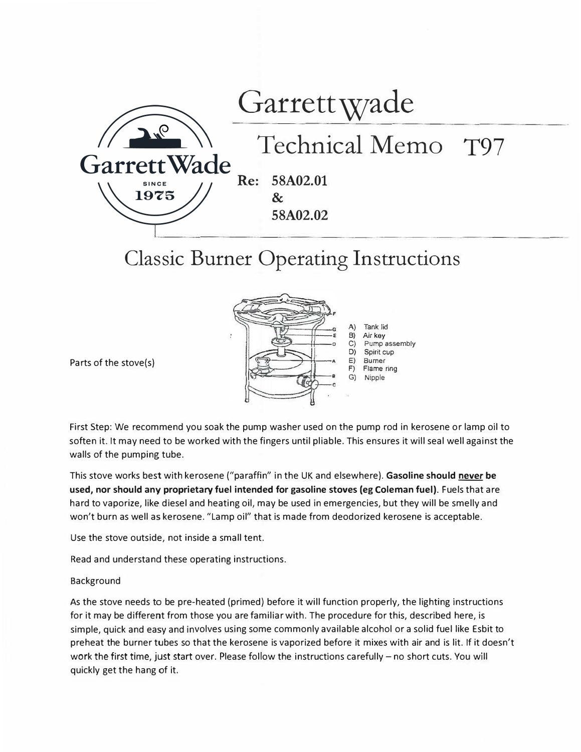

## **Classic Burner Operating Instructions**



Parts of the stove(s)

First Step: We recommend you soak the pump washer used on the pump rod in kerosene or lamp oil to soften it. It may need to be worked with the fingers until pliable. This ensures it will seal well against the walls of the pumping tube.

This stove works best with kerosene ("paraffin" in the UK and elsewhere). Gasoline should never be **used, nor should any proprietary fuel intended for gasoline stoves (eg Coleman fuel).** Fuels that are hard to vaporize, like diesel and heating oil, may be used in emergencies, but they will be smelly and won't burn as well as kerosene. "Lamp oil" that is made from deodorized kerosene is acceptable.

Use the stove outside, not inside a small tent.

Read and understand these operating instructions.

## Background

As the stove needs to be pre-heated (primed) before it will function properly, the lighting instructions for it may be different from those you are familiar with. The procedure for this, described here, is simple, quick and easy and involves using some commonly available alcohol or a solid fuel like Esbit to preheat the burner tubes so that the kerosene is vaporized before it mixes with air and is lit. If it doesn't work the first time, just start over. Please follow the instructions carefully - no short cuts. You will quickly get the hang of it.